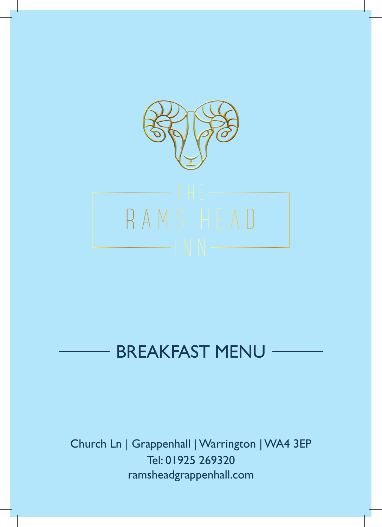

# BREAKFAST MENU

Church Ln | Grappenhall | Warrington | WA4 3EP Tel: 01925 269320 ramsheadgrappenhall.com